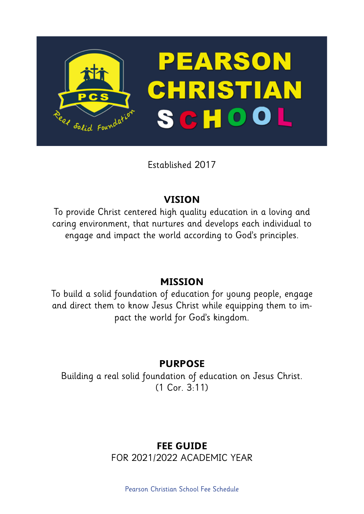

Established 2017

# **VISION**

To provide Christ centered high quality education in a loving and caring environment, that nurtures and develops each individual to engage and impact the world according to God's principles.

## **MISSION**

To build a solid foundation of education for young people, engage and direct them to know Jesus Christ while equipping them to impact the world for God's kingdom.

# **PURPOSE**

Building a real solid foundation of education on Jesus Christ. (1 Cor. 3:11)

## **FEE GUIDE**  FOR 2021/2022 ACADEMIC YEAR

Pearson Christian School Fee Schedule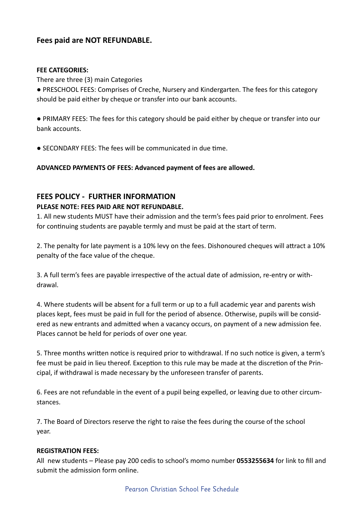## **Fees paid are NOT REFUNDABLE.**

#### **FEE CATEGORIES:**

There are three (3) main Categories

● PRESCHOOL FEES: Comprises of Creche, Nursery and Kindergarten. The fees for this category should be paid either by cheque or transfer into our bank accounts.

● PRIMARY FEES: The fees for this category should be paid either by cheque or transfer into our bank accounts.

● SECONDARY FEES: The fees will be communicated in due time.

**ADVANCED PAYMENTS OF FEES: Advanced payment of fees are allowed.**

### **FEES POLICY - FURTHER INFORMATION**

#### **PLEASE NOTE: FEES PAID ARE NOT REFUNDABLE.**

1. All new students MUST have their admission and the term's fees paid prior to enrolment. Fees for continuing students are payable termly and must be paid at the start of term.

2. The penalty for late payment is a 10% levy on the fees. Dishonoured cheques will attract a 10% penalty of the face value of the cheque.

3. A full term's fees are payable irrespective of the actual date of admission, re-entry or withdrawal.

4. Where students will be absent for a full term or up to a full academic year and parents wish places kept, fees must be paid in full for the period of absence. Otherwise, pupils will be considered as new entrants and admitted when a vacancy occurs, on payment of a new admission fee. Places cannot be held for periods of over one year.

5. Three months written notice is required prior to withdrawal. If no such notice is given, a term's fee must be paid in lieu thereof. Exception to this rule may be made at the discretion of the Principal, if withdrawal is made necessary by the unforeseen transfer of parents.

6. Fees are not refundable in the event of a pupil being expelled, or leaving due to other circumstances.

7. The Board of Directors reserve the right to raise the fees during the course of the school year.

#### **REGISTRATION FEES:**

All new students – Please pay 200 cedis to school's momo number **0553255634** for link to fill and submit the admission form online.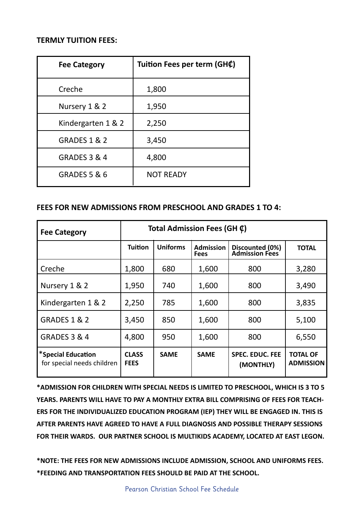### **TERMLY TUITION FEES:**

| <b>Fee Category</b>     | Tuition Fees per term (GH¢) |  |  |
|-------------------------|-----------------------------|--|--|
| Creche                  | 1,800                       |  |  |
| Nursery 1 & 2           | 1,950                       |  |  |
| Kindergarten 1 & 2      | 2,250                       |  |  |
| <b>GRADES 1 &amp; 2</b> | 3,450                       |  |  |
| <b>GRADES 3 &amp; 4</b> | 4,800                       |  |  |
| <b>GRADES 5 &amp; 6</b> | <b>NOT READY</b>            |  |  |

## **FEES FOR NEW ADMISSIONS FROM PRESCHOOL AND GRADES 1 TO 4:**

| <b>Fee Category</b>                              | Total Admission Fees (GH $\varphi$ ) |                 |                                 |                                          |                                     |  |
|--------------------------------------------------|--------------------------------------|-----------------|---------------------------------|------------------------------------------|-------------------------------------|--|
|                                                  | <b>Tuition</b>                       | <b>Uniforms</b> | <b>Admission</b><br><b>Fees</b> | Discounted (0%)<br><b>Admission Fees</b> | <b>TOTAL</b>                        |  |
| Creche                                           | 1,800                                | 680             | 1,600                           | 800                                      | 3,280                               |  |
| Nursery 1 & 2                                    | 1,950                                | 740             | 1,600                           | 800                                      | 3,490                               |  |
| Kindergarten 1 & 2                               | 2,250                                | 785             | 1,600                           | 800                                      | 3,835                               |  |
| <b>GRADES 1 &amp; 2</b>                          | 3,450                                | 850             | 1,600                           | 800                                      | 5,100                               |  |
| <b>GRADES 3 &amp; 4</b>                          | 4,800                                | 950             | 1,600                           | 800                                      | 6,550                               |  |
| *Special Education<br>for special needs children | <b>CLASS</b><br><b>FEES</b>          | <b>SAME</b>     | <b>SAME</b>                     | <b>SPEC. EDUC. FEE</b><br>(MONTHLY)      | <b>TOTAL OF</b><br><b>ADMISSION</b> |  |

**\*ADMISSION FOR CHILDREN WITH SPECIAL NEEDS IS LIMITED TO PRESCHOOL, WHICH IS 3 TO 5 YEARS. PARENTS WILL HAVE TO PAY A MONTHLY EXTRA BILL COMPRISING OF FEES FOR TEACH-ERS FOR THE INDIVIDUALIZED EDUCATION PROGRAM (IEP) THEY WILL BE ENGAGED IN. THIS IS AFTER PARENTS HAVE AGREED TO HAVE A FULL DIAGNOSIS AND POSSIBLE THERAPY SESSIONS FOR THEIR WARDS. OUR PARTNER SCHOOL IS MULTIKIDS ACADEMY, LOCATED AT EAST LEGON.**

**\*NOTE: THE FEES FOR NEW ADMISSIONS INCLUDE ADMISSION, SCHOOL AND UNIFORMS FEES. \*FEEDING AND TRANSPORTATION FEES SHOULD BE PAID AT THE SCHOOL.**